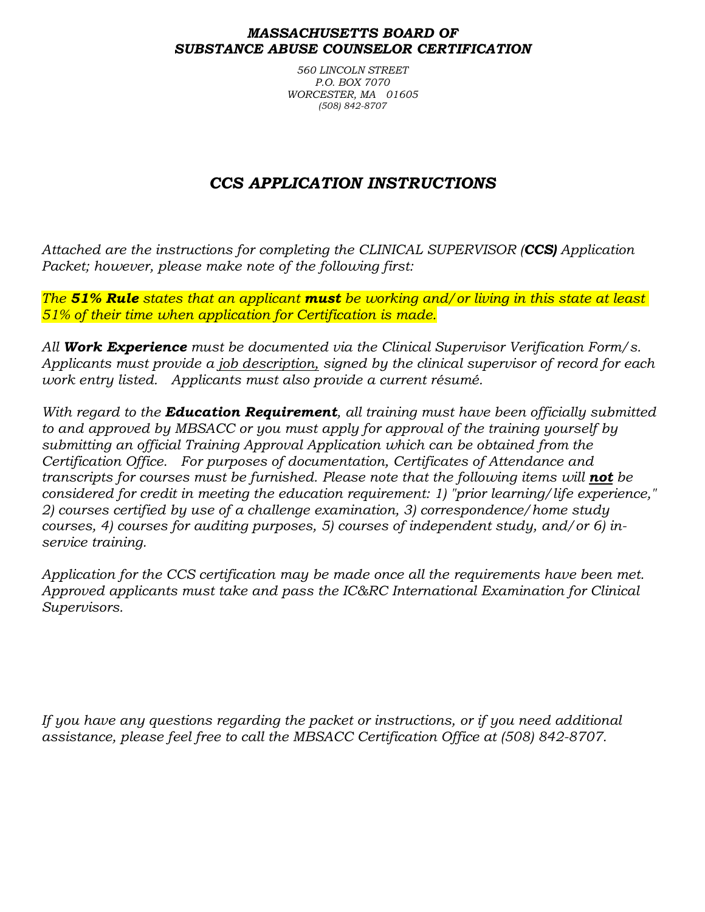#### *MASSACHUSETTS BOARD OF SUBSTANCE ABUSE COUNSELOR CERTIFICATION*

*560 LINCOLN STREET P.O. BOX 7070 WORCESTER, MA 01605 (508) 842-8707*

# *CCS APPLICATION INSTRUCTIONS*

*Attached are the instructions for completing the CLINICAL SUPERVISOR (CCS) Application Packet; however, please make note of the following first:*

*The 51% Rule states that an applicant must be working and/or living in this state at least 51% of their time when application for Certification is made.*

*All Work Experience must be documented via the Clinical Supervisor Verification Form/s. Applicants must provide a job description, signed by the clinical supervisor of record for each work entry listed. Applicants must also provide a current résumé.*

*With regard to the Education Requirement, all training must have been officially submitted to and approved by MBSACC or you must apply for approval of the training yourself by submitting an official Training Approval Application which can be obtained from the Certification Office. For purposes of documentation, Certificates of Attendance and transcripts for courses must be furnished. Please note that the following items will not be considered for credit in meeting the education requirement: 1) "prior learning/life experience," 2) courses certified by use of a challenge examination, 3) correspondence/home study courses, 4) courses for auditing purposes, 5) courses of independent study, and/or 6) inservice training.*

*Application for the CCS certification may be made once all the requirements have been met. Approved applicants must take and pass the IC&RC International Examination for Clinical Supervisors.* 

*If you have any questions regarding the packet or instructions, or if you need additional assistance, please feel free to call the MBSACC Certification Office at (508) 842-8707.*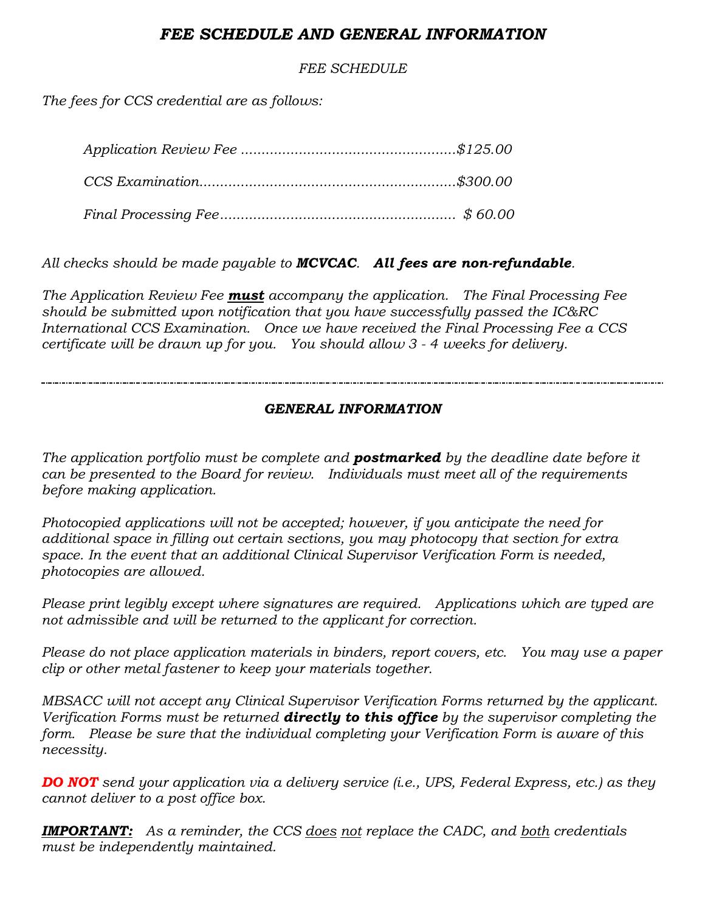## *FEE SCHEDULE AND GENERAL INFORMATION*

*FEE SCHEDULE*

*The fees for CCS credential are as follows:*

*All checks should be made payable to MCVCAC. All fees are non-refundable.*

*The Application Review Fee must accompany the application. The Final Processing Fee should be submitted upon notification that you have successfully passed the IC&RC International CCS Examination. Once we have received the Final Processing Fee a CCS certificate will be drawn up for you. You should allow 3 - 4 weeks for delivery.*

### *GENERAL INFORMATION*

*The application portfolio must be complete and postmarked by the deadline date before it can be presented to the Board for review. Individuals must meet all of the requirements before making application.*

*Photocopied applications will not be accepted; however, if you anticipate the need for additional space in filling out certain sections, you may photocopy that section for extra space. In the event that an additional Clinical Supervisor Verification Form is needed, photocopies are allowed.*

*Please print legibly except where signatures are required. Applications which are typed are not admissible and will be returned to the applicant for correction.*

*Please do not place application materials in binders, report covers, etc. You may use a paper clip or other metal fastener to keep your materials together.*

*MBSACC will not accept any Clinical Supervisor Verification Forms returned by the applicant. Verification Forms must be returned directly to this office by the supervisor completing the form. Please be sure that the individual completing your Verification Form is aware of this necessity.*

*DO NOT send your application via a delivery service (i.e., UPS, Federal Express, etc.) as they cannot deliver to a post office box.*

*IMPORTANT: As a reminder, the CCS does not replace the CADC, and both credentials must be independently maintained.*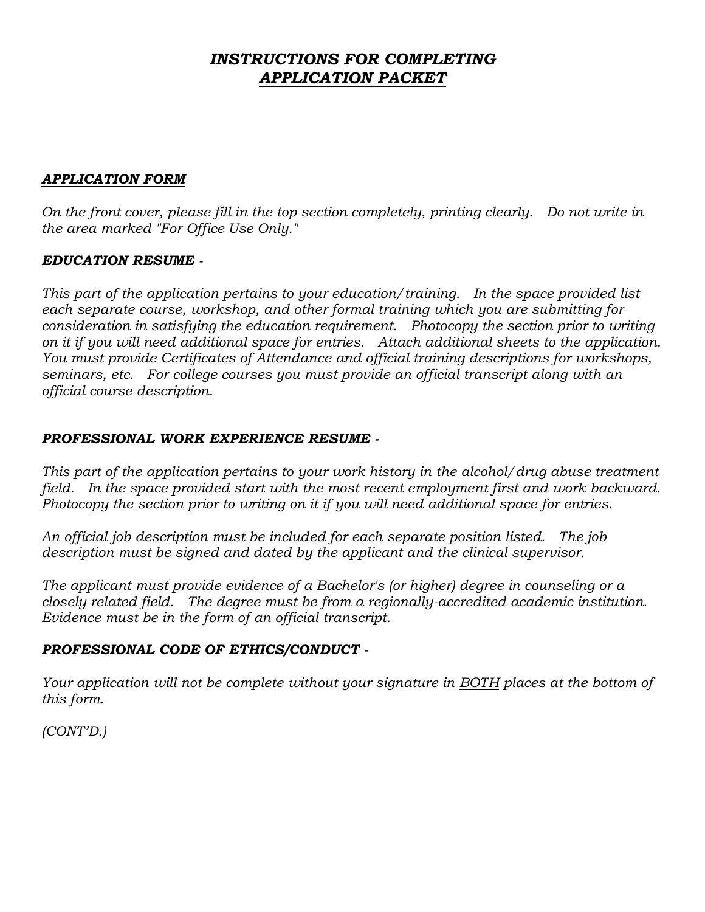## *INSTRUCTIONS FOR COMPLETING APPLICATION PACKET*

#### *APPLICATION FORM*

*On the front cover, please fill in the top section completely, printing clearly. Do not write in the area marked "For Office Use Only."*

### *EDUCATION RESUME -*

*This part of the application pertains to your education/training. In the space provided list*  each separate course, workshop, and other formal training which you are submitting for *consideration in satisfying the education requirement. Photocopy the section prior to writing on it if you will need additional space for entries. Attach additional sheets to the application. You must provide Certificates of Attendance and official training descriptions for workshops, seminars, etc. For college courses you must provide an official transcript along with an official course description.*

#### *PROFESSIONAL WORK EXPERIENCE RESUME -*

*This part of the application pertains to your work history in the alcohol/drug abuse treatment*  field. In the space provided start with the most recent employment first and work backward. *Photocopy the section prior to writing on it if you will need additional space for entries.*

*An official job description must be included for each separate position listed. The job description must be signed and dated by the applicant and the clinical supervisor.*

*The applicant must provide evidence of a Bachelor's (or higher) degree in counseling or a closely related field. The degree must be from a regionally-accredited academic institution. Evidence must be in the form of an official transcript.*

#### *PROFESSIONAL CODE OF ETHICS/CONDUCT -*

*Your application will not be complete without your signature in BOTH places at the bottom of this form.*

*(CONT'D.)*